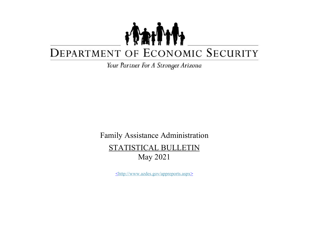## TANT DEPARTMENT OF ECONOMIC SECURITY

Your Partner For A Stronger Arizona

Family Assistance Administration STATISTICAL BULLETIN May 2021

<http://www.azdes.gov/appreports.aspx>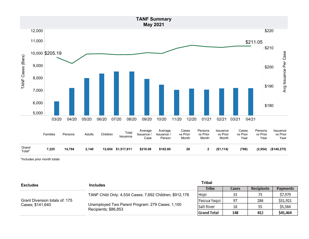

\*Includes prior month totals

| <b>Excludes</b>                                    | <b>Includes</b>                                                         | <b>Tribal</b>      |       |                   |                 |
|----------------------------------------------------|-------------------------------------------------------------------------|--------------------|-------|-------------------|-----------------|
|                                                    |                                                                         | <b>Tribe</b>       | Cases | <b>Recipients</b> | <b>Payments</b> |
|                                                    | TANF Child Only: 4,534 Cases; 7,692 Children; \$912,176                 | Hopi               | 33    |                   | \$7,979         |
| Grant Diversion totals of: 175<br>Cases; \$141,640 | Unemployed Two Parent Program: 279 Cases; 1,100<br>Recipients; \$86,853 | Pascua Yaqui       | 97    | 284               | \$31,921        |
|                                                    |                                                                         | Salt River         | 18    | 55                | \$5,564         |
|                                                    |                                                                         | <b>Grand Total</b> | 148   | 412               | \$45,464        |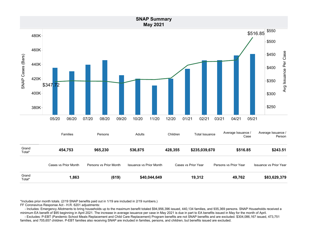

\*Includes prior month totals. (2/19 SNAP benefits paid out in 1/19 are included in 2/19 numbers.)

FF Coronavirus Response Act - H.R. 6201 adjustments:

- Includes: Emergency Allotments to bring households up to the maximum benefit totaled \$94,956,396 issued, 440,134 families, and 935,369 persons. SNAP Households received a minimum EA benefit of \$95 beginning in April 2021. The increase in average issuance per case in May 2021 is due in part to EA benefits issued in May for the month of April.

- Excludes: P-EBT (Pandemic School Meals Replacement and Child Care Replacement) Program benefits are not SNAP benefits and are excluded. \$304,086,167 issued, 473,751 families, and 705,657 children. P-EBT families also receiving SNAP are included in families, persons, and children, but benefits issued are excluded.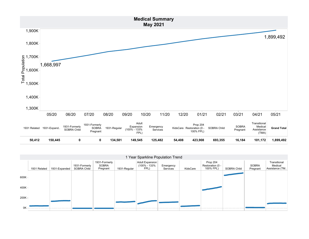

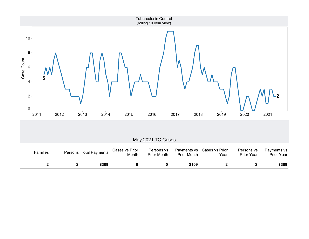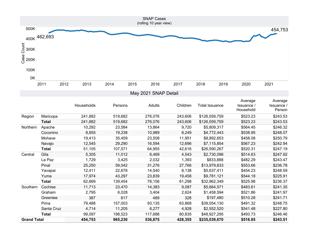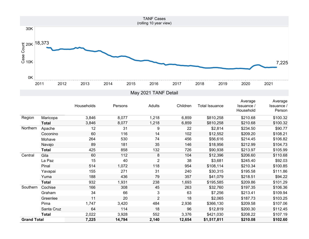

| Region             | Maricopa     | 3,846 | 8,077  | 1,218          | 6,859  | \$810,258   | \$210.68 | \$100.32 |
|--------------------|--------------|-------|--------|----------------|--------|-------------|----------|----------|
|                    | <b>Total</b> | 3,846 | 8,077  | 1,218          | 6,859  | \$810,258   | \$210.68 | \$100.32 |
| Northern           | Apache       | 12    | 31     | 9              | 22     | \$2,814     | \$234.50 | \$90.77  |
|                    | Coconino     | 60    | 116    | 14             | 102    | \$12,552    | \$209.20 | \$108.21 |
|                    | Mohave       | 264   | 530    | 74             | 456    | \$56,616    | \$214.45 | \$106.82 |
|                    | Navajo       | 89    | 181    | 35             | 146    | \$18,956    | \$212.99 | \$104.73 |
|                    | <b>Total</b> | 425   | 858    | 132            | 726    | \$90,938    | \$213.97 | \$105.99 |
| Central            | Gila         | 60    | 112    | 8              | 104    | \$12,396    | \$206.60 | \$110.68 |
|                    | La Paz       | 15    | 40     | $\overline{2}$ | 38     | \$3,681     | \$245.40 | \$92.03  |
|                    | Pinal        | 514   | 1,072  | 118            | 954    | \$108,114   | \$210.34 | \$100.85 |
|                    | Yavapai      | 155   | 271    | 31             | 240    | \$30,315    | \$195.58 | \$111.86 |
|                    | Yuma         | 188   | 436    | 79             | 357    | \$41,079    | \$218.51 | \$94.22  |
|                    | <b>Total</b> | 932   | 1,931  | 238            | 1,693  | \$195,585   | \$209.86 | \$101.29 |
| Southern           | Cochise      | 166   | 308    | 45             | 263    | \$32,760    | \$197.35 | \$106.36 |
|                    | Graham       | 34    | 66     | 3              | 63     | \$7,256     | \$213.41 | \$109.94 |
|                    | Greenlee     | 11    | 20     | $\overline{2}$ | 18     | \$2,065     | \$187.73 | \$103.25 |
|                    | Pima         | 1,747 | 3,420  | 484            | 2,936  | \$366,130   | \$209.58 | \$107.06 |
|                    | Santa Cruz   | 64    | 114    | 18             | 96     | \$12,819    | \$200.30 | \$112.45 |
|                    | <b>Total</b> | 2,022 | 3,928  | 552            | 3,376  | \$421,030   | \$208.22 | \$107.19 |
| <b>Grand Total</b> |              | 7,225 | 14,794 | 2,140          | 12,654 | \$1,517,811 | \$210.08 | \$102.60 |